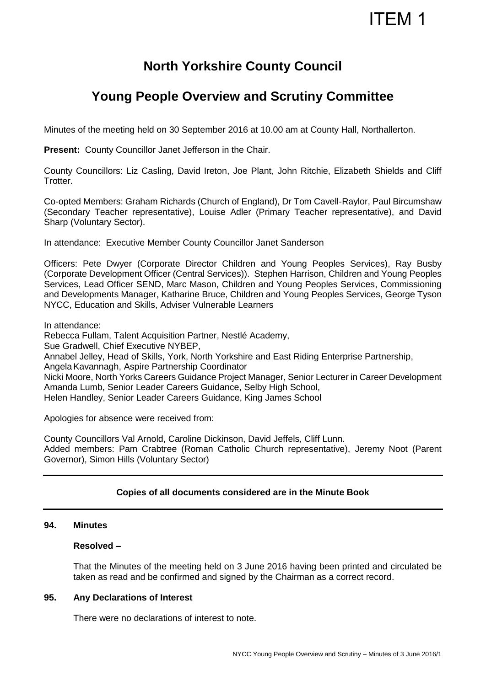# ITEM 1

### **North Yorkshire County Council**

## **Young People Overview and Scrutiny Committee**

Minutes of the meeting held on 30 September 2016 at 10.00 am at County Hall, Northallerton.

**Present: County Councillor Janet Jefferson in the Chair.** 

County Councillors: Liz Casling, David Ireton, Joe Plant, John Ritchie, Elizabeth Shields and Cliff Trotter.

Co-opted Members: Graham Richards (Church of England), Dr Tom Cavell-Raylor, Paul Bircumshaw (Secondary Teacher representative), Louise Adler (Primary Teacher representative), and David Sharp (Voluntary Sector).

In attendance: Executive Member County Councillor Janet Sanderson

Officers: Pete Dwyer (Corporate Director Children and Young Peoples Services), Ray Busby (Corporate Development Officer (Central Services)). Stephen Harrison, Children and Young Peoples Services, Lead Officer SEND, Marc Mason, Children and Young Peoples Services, Commissioning and Developments Manager, Katharine Bruce, Children and Young Peoples Services, George Tyson NYCC, Education and Skills, Adviser Vulnerable Learners

In attendance:

Rebecca Fullam, Talent Acquisition Partner, Nestlé Academy, Sue Gradwell, Chief Executive NYBEP, Annabel Jelley, Head of Skills, York, North Yorkshire and East Riding Enterprise Partnership, Angela Kavannagh, Aspire Partnership Coordinator Nicki Moore, North Yorks Careers Guidance Project Manager, Senior Lecturer in Career Development Amanda Lumb, Senior Leader Careers Guidance, Selby High School, Helen Handley, Senior Leader Careers Guidance, King James School

Apologies for absence were received from:

County Councillors Val Arnold, Caroline Dickinson, David Jeffels, Cliff Lunn. Added members: Pam Crabtree (Roman Catholic Church representative), Jeremy Noot (Parent Governor), Simon Hills (Voluntary Sector)

### **Copies of all documents considered are in the Minute Book**

#### **94. Minutes**

#### **Resolved –**

That the Minutes of the meeting held on 3 June 2016 having been printed and circulated be taken as read and be confirmed and signed by the Chairman as a correct record.

#### **95. Any Declarations of Interest**

There were no declarations of interest to note.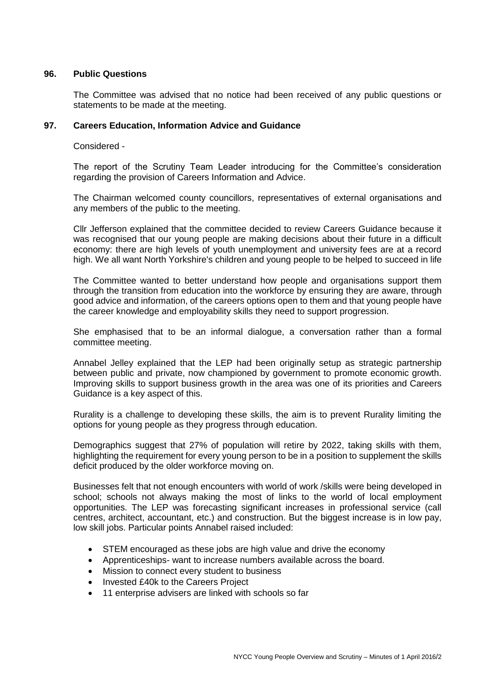#### **96. Public Questions**

The Committee was advised that no notice had been received of any public questions or statements to be made at the meeting.

#### **97. Careers Education, Information Advice and Guidance**

Considered -

The report of the Scrutiny Team Leader introducing for the Committee's consideration regarding the provision of Careers Information and Advice.

The Chairman welcomed county councillors, representatives of external organisations and any members of the public to the meeting.

Cllr Jefferson explained that the committee decided to review Careers Guidance because it was recognised that our young people are making decisions about their future in a difficult economy: there are high levels of youth unemployment and university fees are at a record high. We all want North Yorkshire's children and young people to be helped to succeed in life

The Committee wanted to better understand how people and organisations support them through the transition from education into the workforce by ensuring they are aware, through good advice and information, of the careers options open to them and that young people have the career knowledge and employability skills they need to support progression.

She emphasised that to be an informal dialogue, a conversation rather than a formal committee meeting.

Annabel Jelley explained that the LEP had been originally setup as strategic partnership between public and private, now championed by government to promote economic growth. Improving skills to support business growth in the area was one of its priorities and Careers Guidance is a key aspect of this.

Rurality is a challenge to developing these skills, the aim is to prevent Rurality limiting the options for young people as they progress through education.

Demographics suggest that 27% of population will retire by 2022, taking skills with them, highlighting the requirement for every young person to be in a position to supplement the skills deficit produced by the older workforce moving on.

Businesses felt that not enough encounters with world of work /skills were being developed in school; schools not always making the most of links to the world of local employment opportunities. The LEP was forecasting significant increases in professional service (call centres, architect, accountant, etc.) and construction. But the biggest increase is in low pay, low skill jobs. Particular points Annabel raised included:

- STEM encouraged as these jobs are high value and drive the economy
- Apprenticeships- want to increase numbers available across the board.
- Mission to connect every student to business
- Invested £40k to the Careers Project
- 11 enterprise advisers are linked with schools so far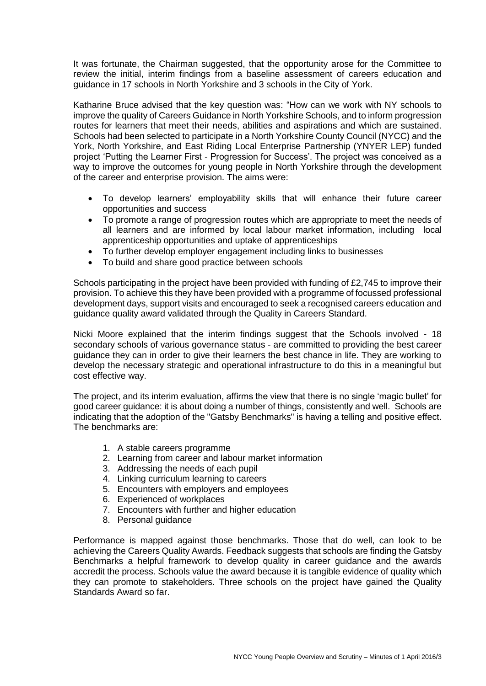It was fortunate, the Chairman suggested, that the opportunity arose for the Committee to review the initial, interim findings from a baseline assessment of careers education and guidance in 17 schools in North Yorkshire and 3 schools in the City of York.

Katharine Bruce advised that the key question was: "How can we work with NY schools to improve the quality of Careers Guidance in North Yorkshire Schools, and to inform progression routes for learners that meet their needs, abilities and aspirations and which are sustained. Schools had been selected to participate in a North Yorkshire County Council (NYCC) and the York, North Yorkshire, and East Riding Local Enterprise Partnership (YNYER LEP) funded project 'Putting the Learner First - Progression for Success'. The project was conceived as a way to improve the outcomes for young people in North Yorkshire through the development of the career and enterprise provision. The aims were:

- To develop learners' employability skills that will enhance their future career opportunities and success
- To promote a range of progression routes which are appropriate to meet the needs of all learners and are informed by local labour market information, including local apprenticeship opportunities and uptake of apprenticeships
- To further develop employer engagement including links to businesses
- To build and share good practice between schools

Schools participating in the project have been provided with funding of £2,745 to improve their provision. To achieve this they have been provided with a programme of focussed professional development days, support visits and encouraged to seek a recognised careers education and guidance quality award validated through the Quality in Careers Standard.

Nicki Moore explained that the interim findings suggest that the Schools involved - 18 secondary schools of various governance status - are committed to providing the best career guidance they can in order to give their learners the best chance in life. They are working to develop the necessary strategic and operational infrastructure to do this in a meaningful but cost effective way.

The project, and its interim evaluation, affirms the view that there is no single 'magic bullet' for good career guidance: it is about doing a number of things, consistently and well. Schools are indicating that the adoption of the "Gatsby Benchmarks" is having a telling and positive effect. The benchmarks are:

- 1. A stable careers programme
- 2. Learning from career and labour market information
- 3. Addressing the needs of each pupil
- 4. Linking curriculum learning to careers
- 5. Encounters with employers and employees
- 6. Experienced of workplaces
- 7. Encounters with further and higher education
- 8. Personal guidance

Performance is mapped against those benchmarks. Those that do well, can look to be achieving the Careers Quality Awards. Feedback suggests that schools are finding the Gatsby Benchmarks a helpful framework to develop quality in career guidance and the awards accredit the process. Schools value the award because it is tangible evidence of quality which they can promote to stakeholders. Three schools on the project have gained the Quality Standards Award so far.